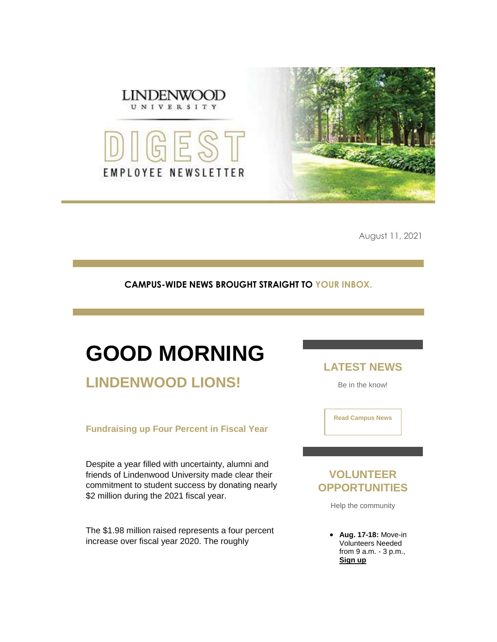

August 11, 2021

#### **CAMPUS-WIDE NEWS BROUGHT STRAIGHT TO YOUR INBOX.**

# **GOOD MORNING**

### **LINDENWOOD LIONS!**

#### **Fundraising up Four Percent in Fiscal Year**

Despite a year filled with uncertainty, alumni and friends of Lindenwood University made clear their commitment to student success by donating nearly \$2 million during the 2021 fiscal year.

The \$1.98 million raised represents a four percent increase over fiscal year 2020. The roughly

**LATEST NEWS**

Be in the know!

**[Read Campus News](https://r20.rs6.net/tn.jsp?f=001DL5FE10rleoSercl6Mev_yOa6X-m0VZx4ZydzyI79QaV6Y1wcKJvT0v1E2bT5mhGP45hA9Sc9UuxHlAyY0eKNbR_89sMMYvTLOXmkaH6KeSehfmUDjZPGnMmd0Zs2yIDq1gh-al_2sLcMFEomPRqDi966qwOuvM8eNeXTUJB7YY=&c=9erj9IPX_gEOPteLTyHMD20uj-TzGO6VdrrhjT_Tyjm_rF43HopQaQ==&ch=R80_O2RCiNYWDAXR8QtloDaC1qhZ1RNQzahcQg7ogRrgv6QdUGOydg==)**

### **VOLUNTEER OPPORTUNITIES**

Help the community

 **Aug. 17-18:** Move-in Volunteers Needed from 9 a.m. - 3 p.m., **[Sign up](https://r20.rs6.net/tn.jsp?f=001DL5FE10rleoSercl6Mev_yOa6X-m0VZx4ZydzyI79QaV6Y1wcKJvTwYkhf4Bp2UkGmli_SAzApPlSjGaWVfTKdCVKrQmgi3_FpukCrMnfQxJldfR1_moyIlVI4XTh3CjgPmOQowwbw3FzxKBLA-2Eok8I_H4ZR84RRMxBf30V_btLlVOSwsd5QDtzm53a4P8&c=9erj9IPX_gEOPteLTyHMD20uj-TzGO6VdrrhjT_Tyjm_rF43HopQaQ==&ch=R80_O2RCiNYWDAXR8QtloDaC1qhZ1RNQzahcQg7ogRrgv6QdUGOydg==)**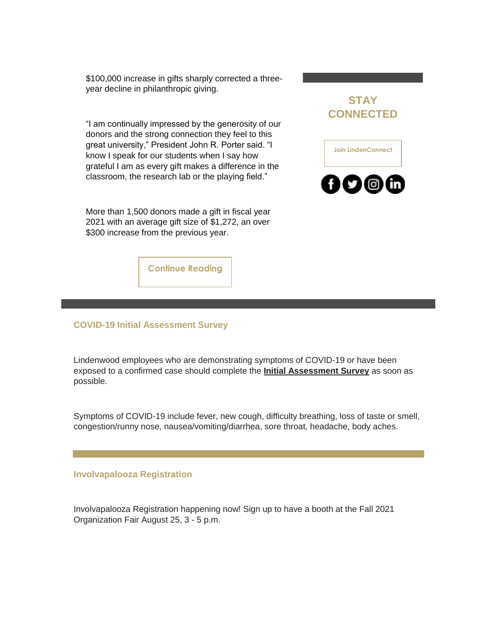\$100,000 increase in gifts sharply corrected a threeyear decline in philanthropic giving.

"I am continually impressed by the generosity of our donors and the strong connection they feel to this great university," President John R. Porter said. "I know I speak for our students when I say how grateful I am as every gift makes a difference in the classroom, the research lab or the playing field."

More than 1,500 donors made a gift in fiscal year 2021 with an average gift size of \$1,272, an over \$300 increase from the previous year.





**[Continue Reading](https://r20.rs6.net/tn.jsp?f=001DL5FE10rleoSercl6Mev_yOa6X-m0VZx4ZydzyI79QaV6Y1wcKJvT-YaGwJa_Ztqid_yto6kc8-iF9PNUkThKhzy_JlCTS-TjtSfEsVpJMSadaV-zN3GABTPyaYTLMi7QLN8aqUE7IhHP7uvej-rRr_czyTACiLSS3KMCz2D2hmXo_LP24h8m6txjWTjqFklORoiKM-5wYDSBg9QHjow5Cm3oKqRJGdq7-9l7L7_YGA0td246a0zyw==&c=9erj9IPX_gEOPteLTyHMD20uj-TzGO6VdrrhjT_Tyjm_rF43HopQaQ==&ch=R80_O2RCiNYWDAXR8QtloDaC1qhZ1RNQzahcQg7ogRrgv6QdUGOydg==)**

#### **COVID-19 Initial Assessment Survey**

Lindenwood employees who are demonstrating symptoms of COVID-19 or have been exposed to a confirmed case should complete the **[Initial Assessment Survey](https://r20.rs6.net/tn.jsp?f=001DL5FE10rleoSercl6Mev_yOa6X-m0VZx4ZydzyI79QaV6Y1wcKJvT-YaGwJa_ZtqyYAST6vh-2Imf5lW7kHWGYST8S0upGFG9hVZYNF4JIfW0JZUps9y0QgyX6mVkPc-8rEjDs0moyCJhtqpjcR7C7DbnxfcxH8Hqe6l0jHApLxqrcD6HVTokP7-caml_6_UQSrHZ0bnBZgTVOqbWFW4cg==&c=9erj9IPX_gEOPteLTyHMD20uj-TzGO6VdrrhjT_Tyjm_rF43HopQaQ==&ch=R80_O2RCiNYWDAXR8QtloDaC1qhZ1RNQzahcQg7ogRrgv6QdUGOydg==)** as soon as possible.

Symptoms of COVID-19 include fever, new cough, difficulty breathing, loss of taste or smell, congestion/runny nose, nausea/vomiting/diarrhea, sore throat, headache, body aches.

#### **Involvapalooza Registration**

Involvapalooza Registration happening now! Sign up to have a booth at the Fall 2021 Organization Fair August 25, 3 - 5 p.m.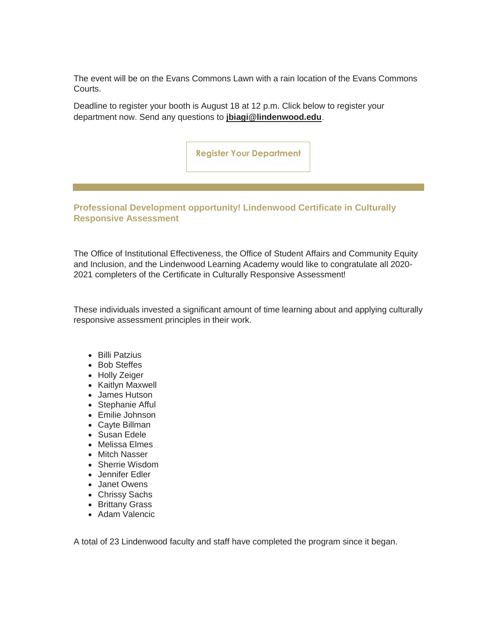The event will be on the Evans Commons Lawn with a rain location of the Evans Commons Courts.

Deadline to register your booth is August 18 at 12 p.m. Click below to register your department now. Send any questions to **[jbiagi@lindenwood.edu](mailto:jbiagi@lindenwood.edu)**.

**[Register Your Department](https://r20.rs6.net/tn.jsp?f=001DL5FE10rleoSercl6Mev_yOa6X-m0VZx4ZydzyI79QaV6Y1wcKJvT-YaGwJa_ZtqxQBarC21GMezKjMuUW1YJLQL72N8QNLosJx8ZCqDGAJeZJBHl5i3KU992prGzWX36NHeM8otT1nVROTT8zcS9lqD2KPgWKcgY5nPSsiP7epLV2nvGaR08Sd1i8MJSBNz5sygWZ_kMyo=&c=9erj9IPX_gEOPteLTyHMD20uj-TzGO6VdrrhjT_Tyjm_rF43HopQaQ==&ch=R80_O2RCiNYWDAXR8QtloDaC1qhZ1RNQzahcQg7ogRrgv6QdUGOydg==)**

**Professional Development opportunity! Lindenwood Certificate in Culturally Responsive Assessment**

The Office of Institutional Effectiveness, the Office of Student Affairs and Community Equity and Inclusion, and the Lindenwood Learning Academy would like to congratulate all 2020- 2021 completers of the Certificate in Culturally Responsive Assessment!

These individuals invested a significant amount of time learning about and applying culturally responsive assessment principles in their work.

- Billi Patzius
- Bob Steffes
- Holly Zeiger
- Kaitlyn Maxwell
- James Hutson
- Stephanie Afful
- Emilie Johnson
- Cayte Billman
- Susan Edele
- Melissa Elmes
- Mitch Nasser
- Sherrie Wisdom
- Jennifer Edler
- Janet Owens
- Chrissy Sachs
- Brittany Grass
- Adam Valencic

A total of 23 Lindenwood faculty and staff have completed the program since it began.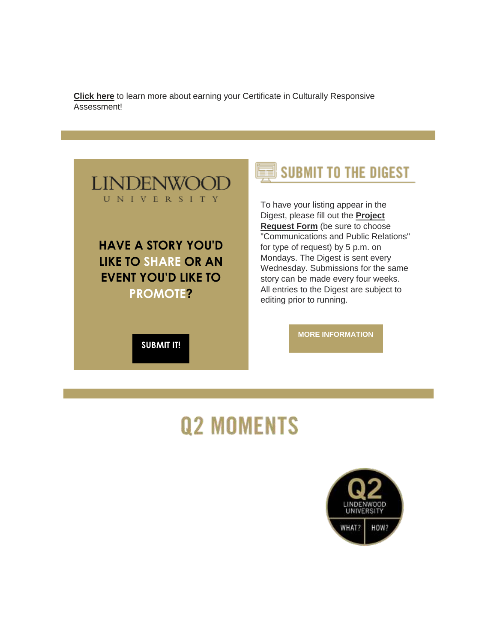**[Click here](https://r20.rs6.net/tn.jsp?f=001DL5FE10rleoSercl6Mev_yOa6X-m0VZx4ZydzyI79QaV6Y1wcKJvT-YaGwJa_Ztq_8w5kOnSG91H6jcRkHE8BgQYmCHIxOaBVuU4q4ghzXnydRRRYzuphuVjYDoGWNJhDYfQuGZ56ctfp3DApZC9DRGAHp2TBkN1UmrISWnJyI_q6laJGHgirak5ocylKIom0zpK6jDHpmhNqHP5sw-yAGHKW7nVOcWPJeB8EhCYjBc9sKViPGMKHxQ46VVPkU1D3J6DAfuFDEqf5PlDuCVQaVedpgQqtFAwe8wTmoqC46U8qpu-02fUmMRFdQzsAl43JNCH3ViXRwbqnXxGvreJbH_bgqyvtcJF5ROM3qMPWqSyqvKcs4IrxvbHiUUZl6Je&c=9erj9IPX_gEOPteLTyHMD20uj-TzGO6VdrrhjT_Tyjm_rF43HopQaQ==&ch=R80_O2RCiNYWDAXR8QtloDaC1qhZ1RNQzahcQg7ogRrgv6QdUGOydg==)** to learn more about earning your Certificate in Culturally Responsive Assessment!



**LIKE TO SHARE OR AN EVENT YOU'D LIKE TO PROMOTE?** 

**[SUBMIT IT!](https://r20.rs6.net/tn.jsp?f=001DL5FE10rleoSercl6Mev_yOa6X-m0VZx4ZydzyI79QaV6Y1wcKJvT-qv-0BUkzNur0HaRMStJHSqJBy6goQIcyUqbNpMf6P8ra9lScdiQvG1DooNZ0x9xEnjroIpunG7N3Rnh2iHpEO_p5axGyrPb4t7-xdvd5nZg7Ee2UsnlCdp_46QtPeidMEGZGvECKKZNErhfmdEU0CW8HRpXhnHqhYVuoFE8Pq9&c=9erj9IPX_gEOPteLTyHMD20uj-TzGO6VdrrhjT_Tyjm_rF43HopQaQ==&ch=R80_O2RCiNYWDAXR8QtloDaC1qhZ1RNQzahcQg7ogRrgv6QdUGOydg==)**



To have your listing appear in the Digest, please fill out the **[Project](https://r20.rs6.net/tn.jsp?f=001DL5FE10rleoSercl6Mev_yOa6X-m0VZx4ZydzyI79QaV6Y1wcKJvT-qv-0BUkzNur0HaRMStJHSqJBy6goQIcyUqbNpMf6P8ra9lScdiQvG1DooNZ0x9xEnjroIpunG7N3Rnh2iHpEO_p5axGyrPb4t7-xdvd5nZg7Ee2UsnlCdp_46QtPeidMEGZGvECKKZNErhfmdEU0CW8HRpXhnHqhYVuoFE8Pq9&c=9erj9IPX_gEOPteLTyHMD20uj-TzGO6VdrrhjT_Tyjm_rF43HopQaQ==&ch=R80_O2RCiNYWDAXR8QtloDaC1qhZ1RNQzahcQg7ogRrgv6QdUGOydg==)  [Request Form](https://r20.rs6.net/tn.jsp?f=001DL5FE10rleoSercl6Mev_yOa6X-m0VZx4ZydzyI79QaV6Y1wcKJvT-qv-0BUkzNur0HaRMStJHSqJBy6goQIcyUqbNpMf6P8ra9lScdiQvG1DooNZ0x9xEnjroIpunG7N3Rnh2iHpEO_p5axGyrPb4t7-xdvd5nZg7Ee2UsnlCdp_46QtPeidMEGZGvECKKZNErhfmdEU0CW8HRpXhnHqhYVuoFE8Pq9&c=9erj9IPX_gEOPteLTyHMD20uj-TzGO6VdrrhjT_Tyjm_rF43HopQaQ==&ch=R80_O2RCiNYWDAXR8QtloDaC1qhZ1RNQzahcQg7ogRrgv6QdUGOydg==)** (be sure to choose "Communications and Public Relations" for type of request) by 5 p.m. on Mondays. The Digest is sent every Wednesday. Submissions for the same story can be made every four weeks. All entries to the Digest are subject to editing prior to running.

**[MORE INFORMATION](https://r20.rs6.net/tn.jsp?f=001DL5FE10rleoSercl6Mev_yOa6X-m0VZx4ZydzyI79QaV6Y1wcKJvT0v1E2bT5mhGWG32rtRd3vvmR4RgDvH2LIVzGYWZ-ifXbkvHUnL7mLJiGqhptMWvNrKFcfiG6gN0DlBZuMU-ly_7ql-7dpkWzrZM2YO39aTrMDKWH3U4CZl9fRbm7k4RHpbN8WpCxDrIzTu15wQEioZK_4mFoenoGK7yYaFrFdIf-vC2r1MEbnxHvGSC5I-IOQ==&c=9erj9IPX_gEOPteLTyHMD20uj-TzGO6VdrrhjT_Tyjm_rF43HopQaQ==&ch=R80_O2RCiNYWDAXR8QtloDaC1qhZ1RNQzahcQg7ogRrgv6QdUGOydg==)**

## **Q2 MOMENTS**

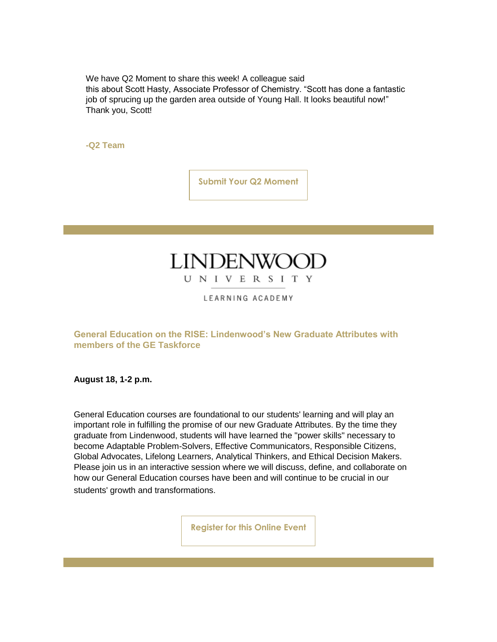We have Q2 Moment to share this week! A colleague said

this about Scott Hasty, Associate Professor of Chemistry. "Scott has done a fantastic job of sprucing up the garden area outside of Young Hall. It looks beautiful now!" Thank you, Scott!

**-Q2 Team**

**[Submit Your Q2 Moment](https://r20.rs6.net/tn.jsp?f=001DL5FE10rleoSercl6Mev_yOa6X-m0VZx4ZydzyI79QaV6Y1wcKJvT0v1E2bT5mhGLcJJ9U13Lz84tj3w5dt9K5fNfqb7T97He1cBHHyIWV2NouEuqmClIezZmwhzEh3aYmqiXMjR90rsy6dn7K0D1jmbgYUGTiS8GMOUb3ay1PXIF-wIA7_Ruhn9tJGPQVFGoRWaiznpHn3qHHtsZX6PIQf93Wul1AYePNLYKZRwRjYYL3XVYP-4JoziXCxEOKcUaY1OxjfoYdPUDeOTv0R5mw==&c=9erj9IPX_gEOPteLTyHMD20uj-TzGO6VdrrhjT_Tyjm_rF43HopQaQ==&ch=R80_O2RCiNYWDAXR8QtloDaC1qhZ1RNQzahcQg7ogRrgv6QdUGOydg==)**

## **LINDENWOC** UNIVERSITY

LEARNING ACADEMY

**General Education on the RISE: Lindenwood's New Graduate Attributes with members of the GE Taskforce**

**August 18, 1-2 p.m.**

General Education courses are foundational to our students' learning and will play an important role in fulfilling the promise of our new Graduate Attributes. By the time they graduate from Lindenwood, students will have learned the "power skills" necessary to become Adaptable Problem-Solvers, Effective Communicators, Responsible Citizens, Global Advocates, Lifelong Learners, Analytical Thinkers, and Ethical Decision Makers. Please join us in an interactive session where we will discuss, define, and collaborate on how our General Education courses have been and will continue to be crucial in our students' growth and transformations.

**[Register for this Online Event](https://r20.rs6.net/tn.jsp?f=001DL5FE10rleoSercl6Mev_yOa6X-m0VZx4ZydzyI79QaV6Y1wcKJvT-YaGwJa_ZtqCW7xQsgYOXFQdcIAPxdeK_IaM0t1iafEICIGXfgbdOnuCJ9JXLbIjstNOJIjgSIxK9SUxpELFDPdTpzTD3TMf-8YhhsAJbUbBubL8WUis9k=&c=9erj9IPX_gEOPteLTyHMD20uj-TzGO6VdrrhjT_Tyjm_rF43HopQaQ==&ch=R80_O2RCiNYWDAXR8QtloDaC1qhZ1RNQzahcQg7ogRrgv6QdUGOydg==)**